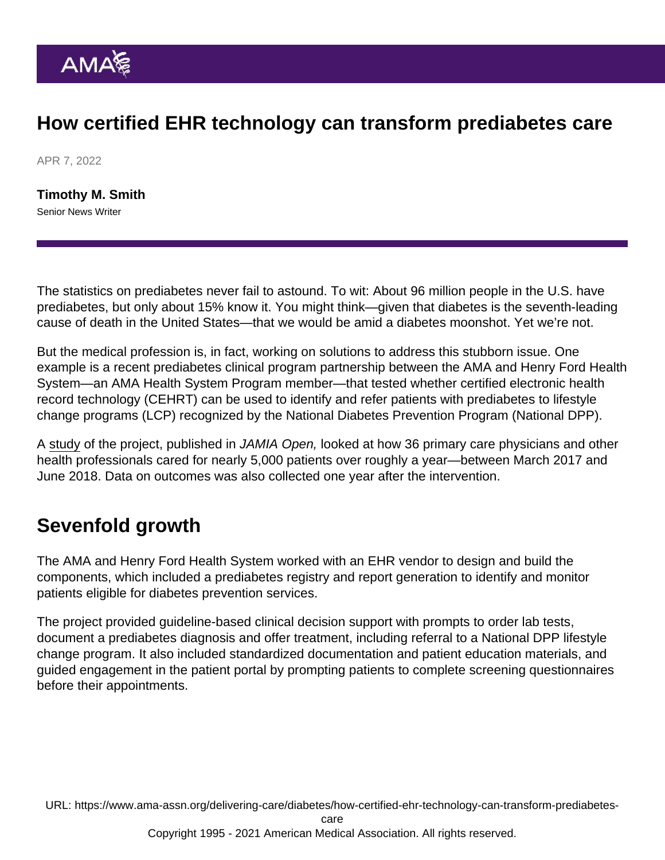## How certified EHR technology can transform prediabetes care

APR 7, 2022

[Timothy M. Smith](https://www.ama-assn.org/news-leadership-viewpoints/authors-news-leadership-viewpoints/timothy-m-smith) Senior News Writer

The statistics on prediabetes never fail to astound. To wit: About 96 million people in the U.S. have prediabetes, but only about 15% know it. You might think—given that diabetes is the seventh-leading cause of death in the United States—that we would be amid a diabetes moonshot. Yet we're not.

But the medical profession is, in fact, working on solutions to address this stubborn issue. One example is a recent prediabetes clinical program partnership between the AMA and [Henry Ford Health](https://www.ama-assn.org/about/leadership/henry-ford-health-system-spotlight) [System](https://www.ama-assn.org/about/leadership/henry-ford-health-system-spotlight)—an [AMA Health System Program](https://www.ama-assn.org/amaone/ama-health-system-program) member—that tested whether certified electronic health record technology (CEHRT) can be used to identify and refer patients with prediabetes to lifestyle change programs (LCP) recognized by the National Diabetes Prevention Program (National DPP).

A [study](https://academic.oup.com/jamiaopen/article/4/4/ooab101/6446863?login=true) of the project, published in JAMIA Open, looked at how 36 primary care physicians and other health professionals cared for nearly 5,000 patients over roughly a year—between March 2017 and June 2018. Data on outcomes was also collected one year after the intervention.

## Sevenfold growth

The AMA and Henry Ford Health System worked with an EHR vendor to design and build the components, which included a prediabetes registry and report generation to identify and monitor patients eligible for diabetes prevention services.

The project provided guideline-based clinical decision support with prompts to order lab tests, document a prediabetes diagnosis and offer treatment, including referral to a National DPP lifestyle change program. It also included standardized documentation and patient education materials, and guided engagement in the patient portal by prompting patients to complete screening questionnaires before their appointments.

URL: [https://www.ama-assn.org/delivering-care/diabetes/how-certified-ehr-technology-can-transform-prediabetes-](https://www.ama-assn.org/delivering-care/diabetes/how-certified-ehr-technology-can-transform-prediabetes-care)

[care](https://www.ama-assn.org/delivering-care/diabetes/how-certified-ehr-technology-can-transform-prediabetes-care)